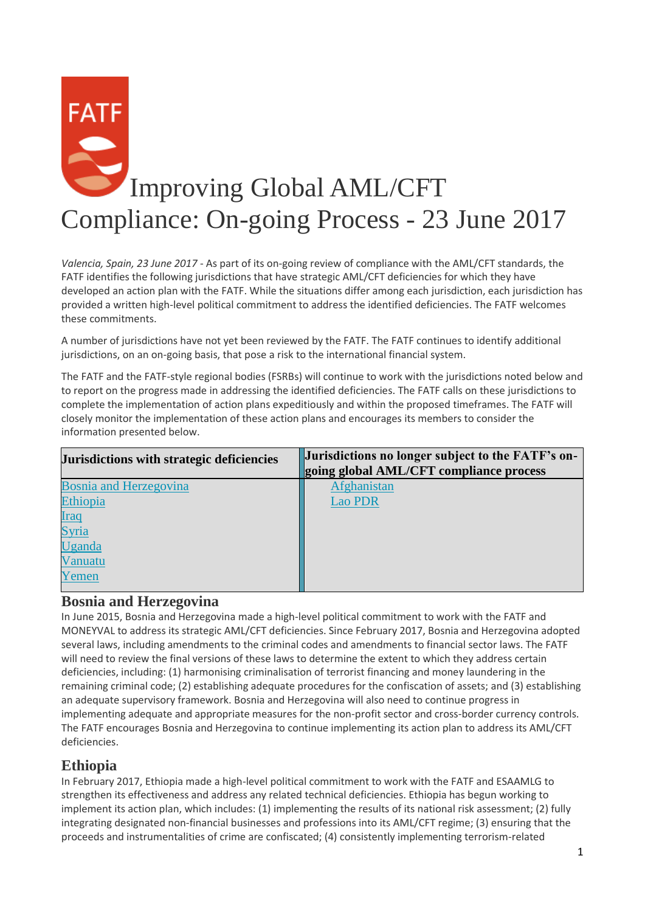

*Valencia, Spain, 23 June 2017* - As part of its on-going review of compliance with the AML/CFT standards, the FATF identifies the following jurisdictions that have strategic AML/CFT deficiencies for which they have developed an action plan with the FATF. While the situations differ among each jurisdiction, each jurisdiction has provided a written high-level political commitment to address the identified deficiencies. The FATF welcomes these commitments.

A number of jurisdictions have not yet been reviewed by the FATF. The FATF continues to identify additional jurisdictions, on an on-going basis, that pose a risk to the international financial system.

The FATF and the FATF-style regional bodies (FSRBs) will continue to work with the jurisdictions noted below and to report on the progress made in addressing the identified deficiencies. The FATF calls on these jurisdictions to complete the implementation of action plans expeditiously and within the proposed timeframes. The FATF will closely monitor the implementation of these action plans and encourages its members to consider the information presented below.

| Jurisdictions with strategic deficiencies | Jurisdictions no longer subject to the FATF's on- |
|-------------------------------------------|---------------------------------------------------|
|                                           | going global AML/CFT compliance process           |
| <b>Bosnia and Herzegovina</b>             | Afghanistan                                       |
| Ethiopia                                  | <b>Lao PDR</b>                                    |
| <u>Iraq</u>                               |                                                   |
| Syria                                     |                                                   |
| Uganda                                    |                                                   |
| Vanuatu                                   |                                                   |
| Yemen                                     |                                                   |
|                                           |                                                   |

#### **Bosnia and Herzegovina**

In June 2015, Bosnia and Herzegovina made a high-level political commitment to work with the FATF and MONEYVAL to address its strategic AML/CFT deficiencies. Since February 2017, Bosnia and Herzegovina adopted several laws, including amendments to the criminal codes and amendments to financial sector laws. The FATF will need to review the final versions of these laws to determine the extent to which they address certain deficiencies, including: (1) harmonising criminalisation of terrorist financing and money laundering in the remaining criminal code; (2) establishing adequate procedures for the confiscation of assets; and (3) establishing an adequate supervisory framework. Bosnia and Herzegovina will also need to continue progress in implementing adequate and appropriate measures for the non-profit sector and cross-border currency controls. The FATF encourages Bosnia and Herzegovina to continue implementing its action plan to address its AML/CFT deficiencies.

#### **Ethiopia**

In February 2017, Ethiopia made a high-level political commitment to work with the FATF and ESAAMLG to strengthen its effectiveness and address any related technical deficiencies. Ethiopia has begun working to implement its action plan, which includes: (1) implementing the results of its national risk assessment; (2) fully integrating designated non-financial businesses and professions into its AML/CFT regime; (3) ensuring that the proceeds and instrumentalities of crime are confiscated; (4) consistently implementing terrorism-related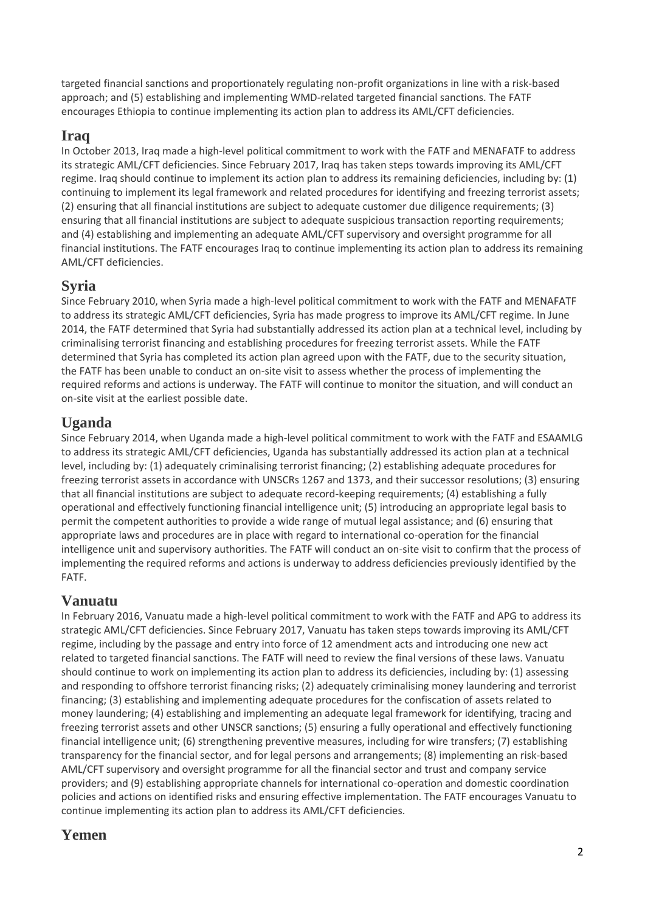targeted financial sanctions and proportionately regulating non-profit organizations in line with a risk-based approach; and (5) establishing and implementing WMD-related targeted financial sanctions. The FATF encourages Ethiopia to continue implementing its action plan to address its AML/CFT deficiencies.

### **Iraq**

In October 2013, Iraq made a high-level political commitment to work with the FATF and MENAFATF to address its strategic AML/CFT deficiencies. Since February 2017, Iraq has taken steps towards improving its AML/CFT regime. Iraq should continue to implement its action plan to address its remaining deficiencies, including by: (1) continuing to implement its legal framework and related procedures for identifying and freezing terrorist assets; (2) ensuring that all financial institutions are subject to adequate customer due diligence requirements; (3) ensuring that all financial institutions are subject to adequate suspicious transaction reporting requirements; and (4) establishing and implementing an adequate AML/CFT supervisory and oversight programme for all financial institutions. The FATF encourages Iraq to continue implementing its action plan to address its remaining AML/CFT deficiencies.

### **Syria**

Since February 2010, when Syria made a high-level political commitment to work with the FATF and MENAFATF to address its strategic AML/CFT deficiencies, Syria has made progress to improve its AML/CFT regime. In June 2014, the FATF determined that Syria had substantially addressed its action plan at a technical level, including by criminalising terrorist financing and establishing procedures for freezing terrorist assets. While the FATF determined that Syria has completed its action plan agreed upon with the FATF, due to the security situation, the FATF has been unable to conduct an on-site visit to assess whether the process of implementing the required reforms and actions is underway. The FATF will continue to monitor the situation, and will conduct an on-site visit at the earliest possible date.

## **Uganda**

Since February 2014, when Uganda made a high-level political commitment to work with the FATF and ESAAMLG to address its strategic AML/CFT deficiencies, Uganda has substantially addressed its action plan at a technical level, including by: (1) adequately criminalising terrorist financing; (2) establishing adequate procedures for freezing terrorist assets in accordance with UNSCRs 1267 and 1373, and their successor resolutions; (3) ensuring that all financial institutions are subject to adequate record-keeping requirements; (4) establishing a fully operational and effectively functioning financial intelligence unit; (5) introducing an appropriate legal basis to permit the competent authorities to provide a wide range of mutual legal assistance; and (6) ensuring that appropriate laws and procedures are in place with regard to international co-operation for the financial intelligence unit and supervisory authorities. The FATF will conduct an on-site visit to confirm that the process of implementing the required reforms and actions is underway to address deficiencies previously identified by the FATF.

## **Vanuatu**

In February 2016, Vanuatu made a high-level political commitment to work with the FATF and APG to address its strategic AML/CFT deficiencies. Since February 2017, Vanuatu has taken steps towards improving its AML/CFT regime, including by the passage and entry into force of 12 amendment acts and introducing one new act related to targeted financial sanctions. The FATF will need to review the final versions of these laws. Vanuatu should continue to work on implementing its action plan to address its deficiencies, including by: (1) assessing and responding to offshore terrorist financing risks; (2) adequately criminalising money laundering and terrorist financing; (3) establishing and implementing adequate procedures for the confiscation of assets related to money laundering; (4) establishing and implementing an adequate legal framework for identifying, tracing and freezing terrorist assets and other UNSCR sanctions; (5) ensuring a fully operational and effectively functioning financial intelligence unit; (6) strengthening preventive measures, including for wire transfers; (7) establishing transparency for the financial sector, and for legal persons and arrangements; (8) implementing an risk-based AML/CFT supervisory and oversight programme for all the financial sector and trust and company service providers; and (9) establishing appropriate channels for international co-operation and domestic coordination policies and actions on identified risks and ensuring effective implementation. The FATF encourages Vanuatu to continue implementing its action plan to address its AML/CFT deficiencies.

## **Yemen**